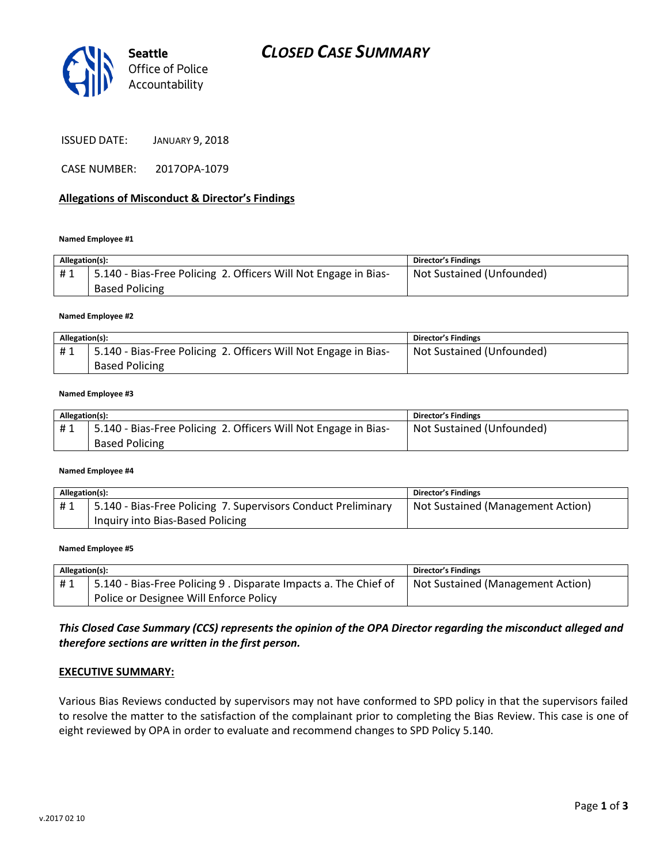

| <b>ISSUED DATE:</b> | <b>JANUARY 9, 2018</b> |
|---------------------|------------------------|
|---------------------|------------------------|

CASE NUMBER: 2017OPA-1079

#### **Allegations of Misconduct & Director's Findings**

#### **Named Employee #1**

| Allegation(s): |                                                                 | <b>Director's Findings</b> |
|----------------|-----------------------------------------------------------------|----------------------------|
| #1             | 5.140 - Bias-Free Policing 2. Officers Will Not Engage in Bias- | Not Sustained (Unfounded)  |
|                | <b>Based Policing</b>                                           |                            |

#### **Named Employee #2**

| Allegation(s): |                                                                 | Director's Findings       |
|----------------|-----------------------------------------------------------------|---------------------------|
| #1             | 5.140 - Bias-Free Policing 2. Officers Will Not Engage in Bias- | Not Sustained (Unfounded) |
|                | <b>Based Policing</b>                                           |                           |

#### **Named Employee #3**

| Allegation(s): |                                                                 | <b>Director's Findings</b> |
|----------------|-----------------------------------------------------------------|----------------------------|
| #1             | 5.140 - Bias-Free Policing 2. Officers Will Not Engage in Bias- | Not Sustained (Unfounded)  |
|                | <b>Based Policing</b>                                           |                            |

#### **Named Employee #4**

| Allegation(s): |                                                               | Director's Findings               |
|----------------|---------------------------------------------------------------|-----------------------------------|
| #1             | 5.140 - Bias-Free Policing 7. Supervisors Conduct Preliminary | Not Sustained (Management Action) |
|                | Inquiry into Bias-Based Policing                              |                                   |

#### **Named Employee #5**

| Allegation(s): |                                                                  | Director's Findings               |
|----------------|------------------------------------------------------------------|-----------------------------------|
| #1             | 5.140 - Bias-Free Policing 9 . Disparate Impacts a. The Chief of | Not Sustained (Management Action) |
|                | Police or Designee Will Enforce Policy                           |                                   |

# *This Closed Case Summary (CCS) represents the opinion of the OPA Director regarding the misconduct alleged and therefore sections are written in the first person.*

#### **EXECUTIVE SUMMARY:**

Various Bias Reviews conducted by supervisors may not have conformed to SPD policy in that the supervisors failed to resolve the matter to the satisfaction of the complainant prior to completing the Bias Review. This case is one of eight reviewed by OPA in order to evaluate and recommend changes to SPD Policy 5.140.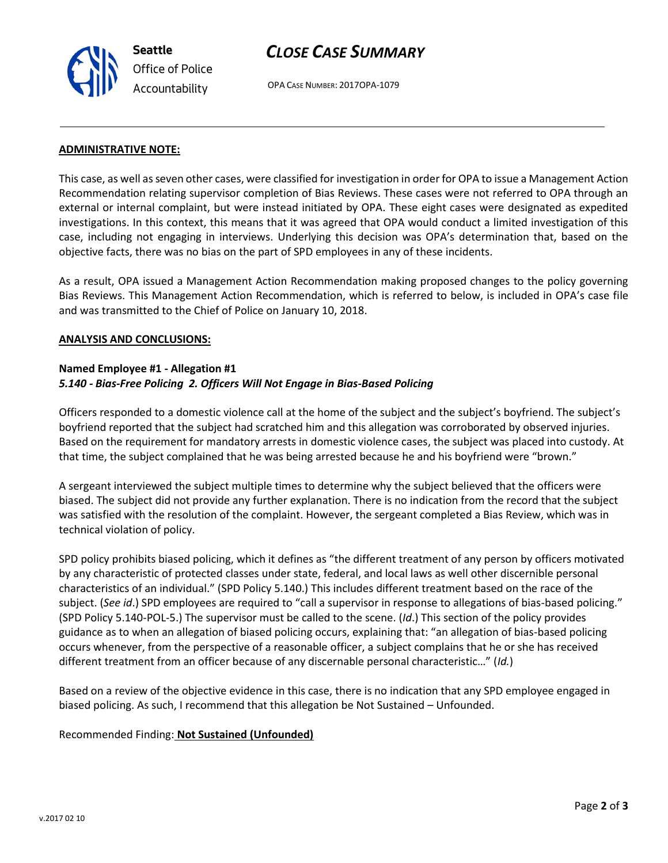

# *CLOSE CASE SUMMARY*

OPA CASE NUMBER: 2017OPA-1079

#### **ADMINISTRATIVE NOTE:**

This case, as well as seven other cases, were classified for investigation in order for OPA to issue a Management Action Recommendation relating supervisor completion of Bias Reviews. These cases were not referred to OPA through an external or internal complaint, but were instead initiated by OPA. These eight cases were designated as expedited investigations. In this context, this means that it was agreed that OPA would conduct a limited investigation of this case, including not engaging in interviews. Underlying this decision was OPA's determination that, based on the objective facts, there was no bias on the part of SPD employees in any of these incidents.

As a result, OPA issued a Management Action Recommendation making proposed changes to the policy governing Bias Reviews. This Management Action Recommendation, which is referred to below, is included in OPA's case file and was transmitted to the Chief of Police on January 10, 2018.

#### **ANALYSIS AND CONCLUSIONS:**

### **Named Employee #1 - Allegation #1**

### *5.140 - Bias-Free Policing 2. Officers Will Not Engage in Bias-Based Policing*

Officers responded to a domestic violence call at the home of the subject and the subject's boyfriend. The subject's boyfriend reported that the subject had scratched him and this allegation was corroborated by observed injuries. Based on the requirement for mandatory arrests in domestic violence cases, the subject was placed into custody. At that time, the subject complained that he was being arrested because he and his boyfriend were "brown."

A sergeant interviewed the subject multiple times to determine why the subject believed that the officers were biased. The subject did not provide any further explanation. There is no indication from the record that the subject was satisfied with the resolution of the complaint. However, the sergeant completed a Bias Review, which was in technical violation of policy.

SPD policy prohibits biased policing, which it defines as "the different treatment of any person by officers motivated by any characteristic of protected classes under state, federal, and local laws as well other discernible personal characteristics of an individual." (SPD Policy 5.140.) This includes different treatment based on the race of the subject. (*See id*.) SPD employees are required to "call a supervisor in response to allegations of bias-based policing." (SPD Policy 5.140-POL-5.) The supervisor must be called to the scene. (*Id*.) This section of the policy provides guidance as to when an allegation of biased policing occurs, explaining that: "an allegation of bias-based policing occurs whenever, from the perspective of a reasonable officer, a subject complains that he or she has received different treatment from an officer because of any discernable personal characteristic…" (*Id.*)

Based on a review of the objective evidence in this case, there is no indication that any SPD employee engaged in biased policing. As such, I recommend that this allegation be Not Sustained – Unfounded.

### Recommended Finding: **Not Sustained (Unfounded)**